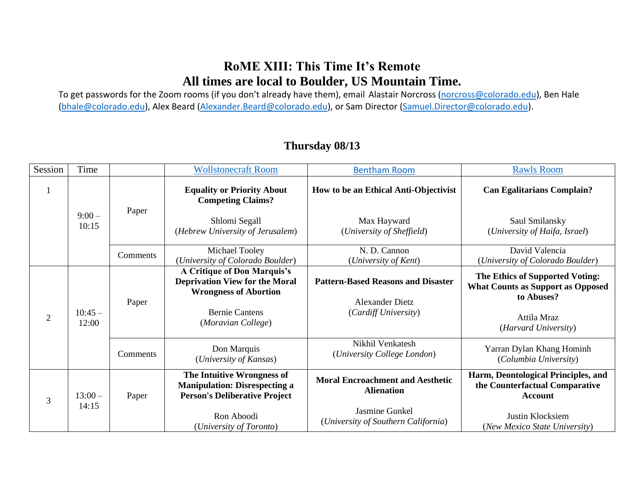### **RoME XIII: This Time It's Remote All times are local to Boulder, US Mountain Time.**

To get passwords for the Zoom rooms (if you don't already have them), email Alastair Norcross [\(norcross@colorado.edu\)](mailto:norcross@colorado.edu), Ben Hale [\(bhale@colorado.edu\)](mailto:bhale@colorado.edu), Alex Beard [\(Alexander.Beard@colorado.edu\)](mailto:Alexander.Beard@colorado.edu), or Sam Director [\(Samuel.Director@colorado.edu\)](mailto:Samuel.Director@colorado.edu).

| Session        | Time              |          | <b>Wollstonecraft Room</b>                                                                                                                          | <b>Bentham Room</b>                                                                         | <b>Rawls Room</b>                                                                                                                |
|----------------|-------------------|----------|-----------------------------------------------------------------------------------------------------------------------------------------------------|---------------------------------------------------------------------------------------------|----------------------------------------------------------------------------------------------------------------------------------|
|                |                   | Paper    | <b>Equality or Priority About</b><br><b>Competing Claims?</b>                                                                                       | How to be an Ethical Anti-Objectivist                                                       | <b>Can Egalitarians Complain?</b>                                                                                                |
|                | $9:00-$<br>10:15  |          | Shlomi Segall<br>(Hebrew University of Jerusalem)                                                                                                   | Max Hayward<br>(University of Sheffield)                                                    | Saul Smilansky<br>(University of Haifa, Israel)                                                                                  |
|                |                   | Comments | Michael Tooley<br>(University of Colorado Boulder)                                                                                                  | N. D. Cannon<br>(University of Kent)                                                        | David Valencia<br>(University of Colorado Boulder)                                                                               |
| $\overline{2}$ | $10:45-$<br>12:00 | Paper    | A Critique of Don Marquis's<br><b>Deprivation View for the Moral</b><br><b>Wrongness of Abortion</b><br><b>Bernie Cantens</b><br>(Moravian College) | <b>Pattern-Based Reasons and Disaster</b><br><b>Alexander Dietz</b><br>(Cardiff University) | The Ethics of Supported Voting:<br><b>What Counts as Support as Opposed</b><br>to Abuses?<br>Attila Mraz<br>(Harvard University) |
|                |                   | Comments | Don Marquis<br>(University of Kansas)                                                                                                               | Nikhil Venkatesh<br>(University College London)                                             | Yarran Dylan Khang Hominh<br>(Columbia University)                                                                               |
| 3              | $13:00-$<br>14:15 | Paper    | The Intuitive Wrongness of<br><b>Manipulation: Disrespecting a</b><br><b>Person's Deliberative Project</b>                                          | <b>Moral Encroachment and Aesthetic</b><br><b>Alienation</b><br>Jasmine Gunkel              | Harm, Deontological Principles, and<br>the Counterfactual Comparative<br><b>Account</b>                                          |
|                |                   |          | Ron Aboodi<br>(University of Toronto)                                                                                                               | (University of Southern California)                                                         | Justin Klocksiem<br>(New Mexico State University)                                                                                |

#### **Thursday 08/13**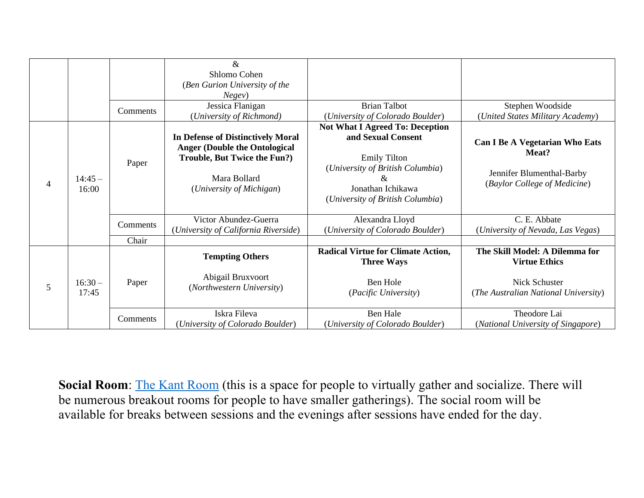|                |                   |          | $\&$<br>Shlomo Cohen<br>(Ben Gurion University of the<br>Negev)                                                                                       |                                                                                                                                                                                  |                                                                                                                 |
|----------------|-------------------|----------|-------------------------------------------------------------------------------------------------------------------------------------------------------|----------------------------------------------------------------------------------------------------------------------------------------------------------------------------------|-----------------------------------------------------------------------------------------------------------------|
|                |                   | Comments | Jessica Flanigan<br>(University of Richmond)                                                                                                          | <b>Brian Talbot</b><br>(University of Colorado Boulder)                                                                                                                          | Stephen Woodside<br>(United States Military Academy)                                                            |
| $\overline{4}$ | $14:45-$<br>16:00 | Paper    | In Defense of Distinctively Moral<br><b>Anger (Double the Ontological</b><br>Trouble, But Twice the Fun?)<br>Mara Bollard<br>(University of Michigan) | <b>Not What I Agreed To: Deception</b><br>and Sexual Consent<br><b>Emily Tilton</b><br>(University of British Columbia)<br>Jonathan Ichikawa<br>(University of British Columbia) | <b>Can I Be A Vegetarian Who Eats</b><br>Meat?<br>Jennifer Blumenthal-Barby<br>(Baylor College of Medicine)     |
|                |                   | Comments | Victor Abundez-Guerra<br>(University of California Riverside)                                                                                         | Alexandra Lloyd<br>(University of Colorado Boulder)                                                                                                                              | C. E. Abbate<br>(University of Nevada, Las Vegas)                                                               |
|                |                   | Chair    |                                                                                                                                                       |                                                                                                                                                                                  |                                                                                                                 |
| 5              | $16:30-$<br>17:45 | Paper    | <b>Tempting Others</b><br>Abigail Bruxvoort<br>(Northwestern University)                                                                              | <b>Radical Virtue for Climate Action,</b><br><b>Three Ways</b><br>Ben Hole<br>(Pacific University)                                                                               | The Skill Model: A Dilemma for<br><b>Virtue Ethics</b><br>Nick Schuster<br>(The Australian National University) |
|                |                   | Comments | Iskra Fileva<br>(University of Colorado Boulder)                                                                                                      | Ben Hale<br>(University of Colorado Boulder)                                                                                                                                     | Theodore Lai<br>(National University of Singapore)                                                              |

**Social Room**: [The Kant Room](https://cuboulder.zoom.us/j/91481528338) (this is a space for people to virtually gather and socialize. There will be numerous breakout rooms for people to have smaller gatherings). The social room will be available for breaks between sessions and the evenings after sessions have ended for the day.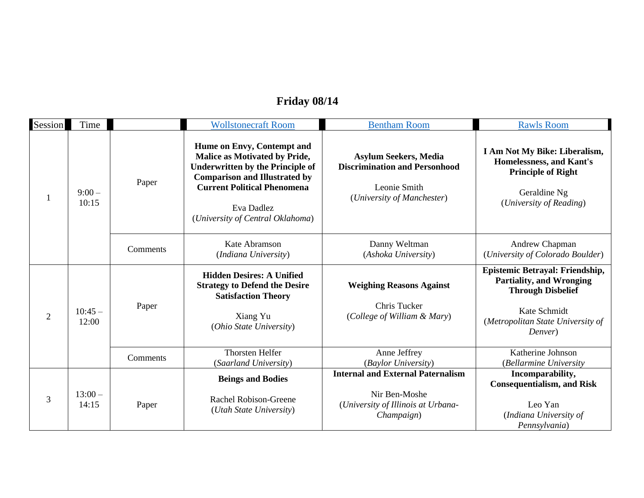# **Friday 08/14**

| Session        | Time              |          | <b>Wollstonecraft Room</b>                                                                                                                                                                                                             | <b>Bentham Room</b>                                                                                                | <b>Rawls Room</b>                                                                                                                                              |
|----------------|-------------------|----------|----------------------------------------------------------------------------------------------------------------------------------------------------------------------------------------------------------------------------------------|--------------------------------------------------------------------------------------------------------------------|----------------------------------------------------------------------------------------------------------------------------------------------------------------|
|                | $9:00-$<br>10:15  | Paper    | Hume on Envy, Contempt and<br>Malice as Motivated by Pride,<br><b>Underwritten by the Principle of</b><br><b>Comparison and Illustrated by</b><br><b>Current Political Phenomena</b><br>Eva Dadlez<br>(University of Central Oklahoma) | <b>Asylum Seekers, Media</b><br><b>Discrimination and Personhood</b><br>Leonie Smith<br>(University of Manchester) | I Am Not My Bike: Liberalism,<br>Homelessness, and Kant's<br><b>Principle of Right</b><br>Geraldine Ng<br>(University of Reading)                              |
|                |                   | Comments | Kate Abramson<br>(Indiana University)                                                                                                                                                                                                  | Danny Weltman<br>(Ashoka University)                                                                               | Andrew Chapman<br>(University of Colorado Boulder)                                                                                                             |
| $\overline{2}$ | $10:45-$<br>12:00 | Paper    | <b>Hidden Desires: A Unified</b><br><b>Strategy to Defend the Desire</b><br><b>Satisfaction Theory</b><br>Xiang Yu<br>(Ohio State University)                                                                                          | <b>Weighing Reasons Against</b><br>Chris Tucker<br>(College of William & Mary)                                     | Epistemic Betrayal: Friendship,<br><b>Partiality, and Wronging</b><br><b>Through Disbelief</b><br>Kate Schmidt<br>(Metropolitan State University of<br>Denver) |
|                |                   | Comments | <b>Thorsten Helfer</b><br>(Saarland University)                                                                                                                                                                                        | Anne Jeffrey<br>(Baylor University)                                                                                | Katherine Johnson<br>(Bellarmine University                                                                                                                    |
| 3              | $13:00-$<br>14:15 | Paper    | <b>Beings and Bodies</b><br>Rachel Robison-Greene<br>(Utah State University)                                                                                                                                                           | <b>Internal and External Paternalism</b><br>Nir Ben-Moshe<br>(University of Illinois at Urbana-<br>Champaign)      | Incomparability,<br><b>Consequentialism, and Risk</b><br>Leo Yan<br>(Indiana University of<br>Pennsylvania)                                                    |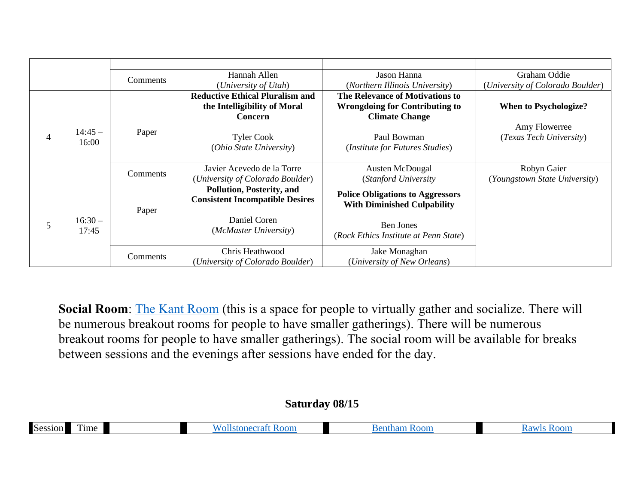|                |                   | Comments | Hannah Allen                                                                      | Jason Hanna                                                                                       | Graham Oddie                     |
|----------------|-------------------|----------|-----------------------------------------------------------------------------------|---------------------------------------------------------------------------------------------------|----------------------------------|
|                |                   |          | (University of Utah)                                                              | (Northern Illinois University)                                                                    | (University of Colorado Boulder) |
|                |                   |          | <b>Reductive Ethical Pluralism and</b><br>the Intelligibility of Moral<br>Concern | The Relevance of Motivations to<br><b>Wrongdoing for Contributing to</b><br><b>Climate Change</b> | <b>When to Psychologize?</b>     |
|                | $14:45-$          |          |                                                                                   |                                                                                                   | Amy Flowerree                    |
| $\overline{4}$ | 16:00             | Paper    | <b>Tyler Cook</b>                                                                 | Paul Bowman                                                                                       | (Texas Tech University)          |
|                |                   |          | (Ohio State University)                                                           | (Institute for Futures Studies)                                                                   |                                  |
|                |                   |          | Javier Acevedo de la Torre                                                        | Austen McDougal                                                                                   | Robyn Gaier                      |
|                |                   | Comments | (University of Colorado Boulder)                                                  | (Stanford University)                                                                             | (Youngstown State University)    |
|                |                   | Paper    | <b>Pollution, Posterity, and</b><br><b>Consistent Incompatible Desires</b>        | <b>Police Obligations to Aggressors</b><br><b>With Diminished Culpability</b>                     |                                  |
| 5              | $16:30-$<br>17:45 |          | Daniel Coren<br>(McMaster University)                                             | <b>Ben Jones</b><br>(Rock Ethics Institute at Penn State)                                         |                                  |
|                |                   |          | Chris Heathwood                                                                   | Jake Monaghan                                                                                     |                                  |
|                |                   | Comments | (University of Colorado Boulder)                                                  | (University of New Orleans)                                                                       |                                  |

**Social Room**: [The Kant Room](https://cuboulder.zoom.us/j/91481528338) (this is a space for people to virtually gather and socialize. There will be numerous breakout rooms for people to have smaller gatherings). There will be numerous breakout rooms for people to have smaller gatherings). The social room will be available for breaks between sessions and the evenings after sessions have ended for the day.

#### **Saturday 08/15**

| <b>Sess</b><br>ime | н | UH |
|--------------------|---|----|
|--------------------|---|----|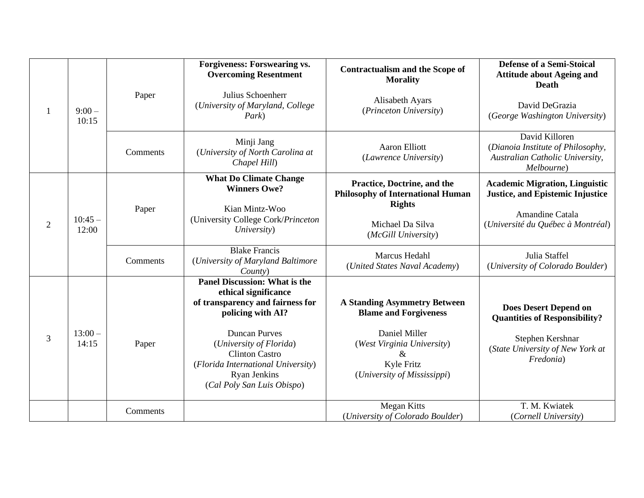|                |                   |          | <b>Forgiveness: Forswearing vs.</b><br><b>Overcoming Resentment</b>                                                                                                                                                                                                                          | <b>Contractualism and the Scope of</b><br><b>Morality</b>                                                                                                            | <b>Defense of a Semi-Stoical</b><br><b>Attitude about Ageing and</b><br><b>Death</b>                                                      |
|----------------|-------------------|----------|----------------------------------------------------------------------------------------------------------------------------------------------------------------------------------------------------------------------------------------------------------------------------------------------|----------------------------------------------------------------------------------------------------------------------------------------------------------------------|-------------------------------------------------------------------------------------------------------------------------------------------|
| 1              | $9:00-$<br>10:15  | Paper    | Julius Schoenherr<br>(University of Maryland, College<br>Park)                                                                                                                                                                                                                               | Alisabeth Ayars<br>(Princeton University)                                                                                                                            | David DeGrazia<br>(George Washington University)                                                                                          |
|                |                   | Comments | Minji Jang<br>(University of North Carolina at<br>Chapel Hill)                                                                                                                                                                                                                               | <b>Aaron Elliott</b><br>(Lawrence University)                                                                                                                        | David Killoren<br>(Dianoia Institute of Philosophy,<br>Australian Catholic University,<br>Melbourne)                                      |
|                |                   |          | <b>What Do Climate Change</b><br><b>Winners Owe?</b>                                                                                                                                                                                                                                         | Practice, Doctrine, and the<br><b>Philosophy of International Human</b><br><b>Rights</b>                                                                             | <b>Academic Migration, Linguistic</b><br><b>Justice, and Epistemic Injustice</b>                                                          |
| $\overline{2}$ | $10:45-$<br>12:00 | Paper    | Kian Mintz-Woo<br>(University College Cork/Princeton<br>University)                                                                                                                                                                                                                          | Michael Da Silva<br>(McGill University)                                                                                                                              | Amandine Catala<br>(Université du Québec à Montréal)                                                                                      |
|                |                   | Comments | <b>Blake Francis</b><br>(University of Maryland Baltimore<br>County)                                                                                                                                                                                                                         | Marcus Hedahl<br>(United States Naval Academy)                                                                                                                       | Julia Staffel<br>(University of Colorado Boulder)                                                                                         |
| 3              | $13:00-$<br>14:15 | Paper    | <b>Panel Discussion: What is the</b><br>ethical significance<br>of transparency and fairness for<br>policing with AI?<br><b>Duncan Purves</b><br>(University of Florida)<br><b>Clinton Castro</b><br>(Florida International University)<br><b>Ryan Jenkins</b><br>(Cal Poly San Luis Obispo) | <b>A Standing Asymmetry Between</b><br><b>Blame and Forgiveness</b><br>Daniel Miller<br>(West Virginia University)<br>&<br>Kyle Fritz<br>(University of Mississippi) | <b>Does Desert Depend on</b><br><b>Quantities of Responsibility?</b><br>Stephen Kershnar<br>(State University of New York at<br>Fredonia) |
|                |                   | Comments |                                                                                                                                                                                                                                                                                              | <b>Megan Kitts</b><br>(University of Colorado Boulder)                                                                                                               | T. M. Kwiatek<br>(Cornell University)                                                                                                     |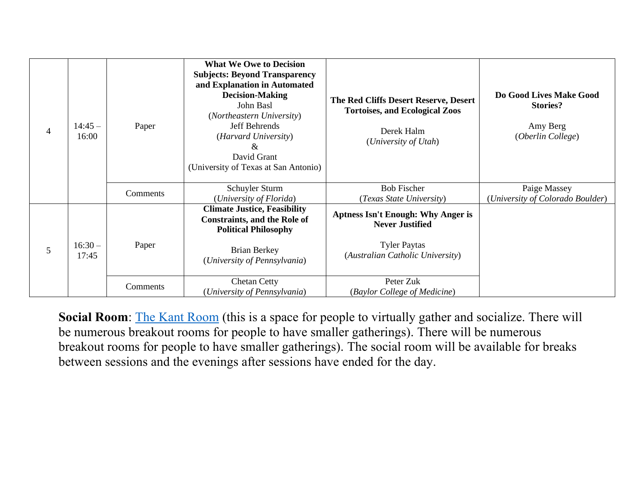| $\overline{4}$ | $14:45-$<br>16:00 | Paper    | <b>What We Owe to Decision</b><br><b>Subjects: Beyond Transparency</b><br>and Explanation in Automated<br><b>Decision-Making</b><br>John Basl<br>(Northeastern University)<br><b>Jeff Behrends</b><br>(Harvard University)<br>&<br>David Grant<br>(University of Texas at San Antonio) | The Red Cliffs Desert Reserve, Desert<br><b>Tortoises, and Ecological Zoos</b><br>Derek Halm<br>(University of Utah)           | Do Good Lives Make Good<br><b>Stories?</b><br>Amy Berg<br>(Oberlin College) |
|----------------|-------------------|----------|----------------------------------------------------------------------------------------------------------------------------------------------------------------------------------------------------------------------------------------------------------------------------------------|--------------------------------------------------------------------------------------------------------------------------------|-----------------------------------------------------------------------------|
|                |                   | Comments | Schuyler Sturm<br>(University of Florida)                                                                                                                                                                                                                                              | <b>Bob Fischer</b><br>(Texas State University)                                                                                 | Paige Massey<br>(University of Colorado Boulder)                            |
| 5              | $16:30-$<br>17:45 | Paper    | <b>Climate Justice, Feasibility</b><br><b>Constraints, and the Role of</b><br><b>Political Philosophy</b><br><b>Brian Berkey</b><br>(University of Pennsylvania)                                                                                                                       | <b>Aptness Isn't Enough: Why Anger is</b><br><b>Never Justified</b><br><b>Tyler Paytas</b><br>(Australian Catholic University) |                                                                             |
|                |                   | Comments | <b>Chetan Cetty</b><br>(University of Pennsylvania)                                                                                                                                                                                                                                    | Peter Zuk<br>(Baylor College of Medicine)                                                                                      |                                                                             |

**Social Room:** [The Kant Room](https://cuboulder.zoom.us/j/91481528338) (this is a space for people to virtually gather and socialize. There will be numerous breakout rooms for people to have smaller gatherings). There will be numerous breakout rooms for people to have smaller gatherings). The social room will be available for breaks between sessions and the evenings after sessions have ended for the day.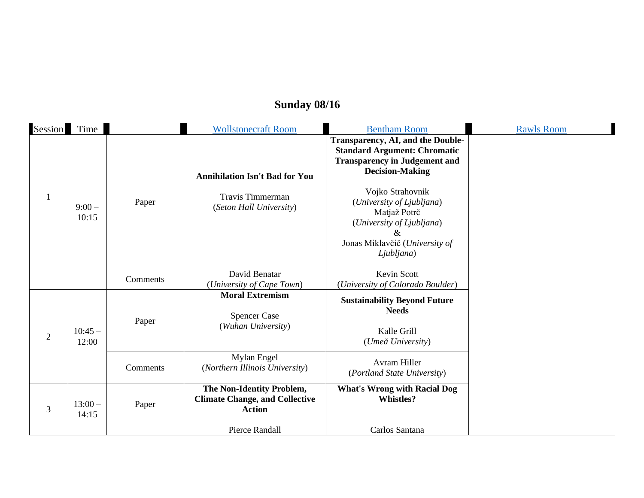# **Sunday 08/16**

| Session        | Time              |          | <b>Wollstonecraft Room</b>                                                          | <b>Bentham Room</b>                                                                                                                             | <b>Rawls Room</b> |
|----------------|-------------------|----------|-------------------------------------------------------------------------------------|-------------------------------------------------------------------------------------------------------------------------------------------------|-------------------|
|                |                   |          | <b>Annihilation Isn't Bad for You</b>                                               | Transparency, AI, and the Double-<br><b>Standard Argument: Chromatic</b><br><b>Transparency in Judgement and</b><br><b>Decision-Making</b>      |                   |
| $\mathbf{1}$   | $9:00-$<br>10:15  | Paper    | <b>Travis Timmerman</b><br>(Seton Hall University)                                  | Vojko Strahovnik<br>(University of Ljubljana)<br>Matjaž Potrč<br>(University of Ljubljana)<br>&<br>Jonas Miklavčič (University of<br>Ljubljana) |                   |
|                |                   | Comments | David Benatar<br>(University of Cape Town)                                          | <b>Kevin Scott</b><br>(University of Colorado Boulder)                                                                                          |                   |
| $\overline{2}$ | $10:45 -$         | Paper    | <b>Moral Extremism</b><br><b>Spencer Case</b><br>(Wuhan University)                 | <b>Sustainability Beyond Future</b><br><b>Needs</b><br>Kalle Grill                                                                              |                   |
|                | 12:00             |          | Mylan Engel                                                                         | (Umeå University)                                                                                                                               |                   |
|                |                   | Comments | (Northern Illinois University)                                                      | <b>Avram Hiller</b><br>(Portland State University)                                                                                              |                   |
| 3              | $13:00-$<br>14:15 | Paper    | The Non-Identity Problem,<br><b>Climate Change, and Collective</b><br><b>Action</b> | <b>What's Wrong with Racial Dog</b><br><b>Whistles?</b>                                                                                         |                   |
|                |                   |          | Pierce Randall                                                                      | Carlos Santana                                                                                                                                  |                   |